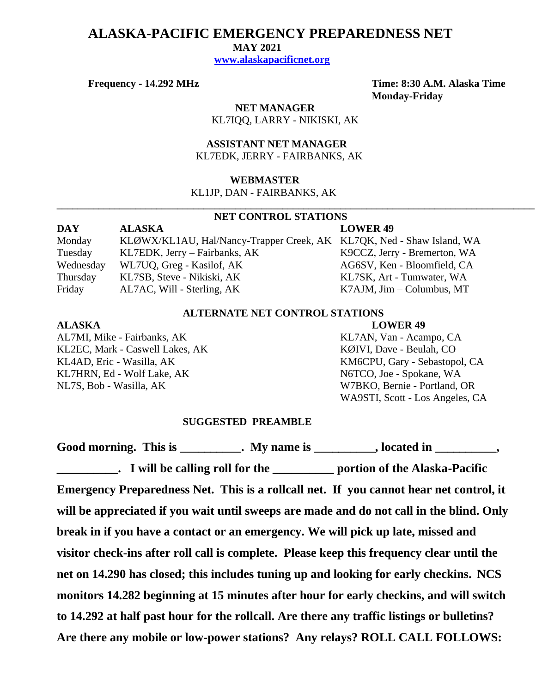# **ALASKA-PACIFIC EMERGENCY PREPAREDNESS NET**

 **MAY 2021**

 **[www.alaskapacificnet.org](http://www.alaskapacificnet.org/)**

**Frequency - 14.292 MHz Time: 8:30 A.M. Alaska Time Monday-Friday**

> **NET MANAGER** KL7IQQ, LARRY - NIKISKI, AK

 **ASSISTANT NET MANAGER**  KL7EDK, JERRY - FAIRBANKS, AK

## **WEBMASTER**

KL1JP, DAN - FAIRBANKS, AK

## **NET CONTROL STATIONS**

**\_\_\_\_\_\_\_\_\_\_\_\_\_\_\_\_\_\_\_\_\_\_\_\_\_\_\_\_\_\_\_\_\_\_\_\_\_\_\_\_\_\_\_\_\_\_\_\_\_\_\_\_\_\_\_\_\_\_\_\_\_\_\_\_\_\_\_\_\_\_\_\_\_\_\_\_\_\_\_\_\_\_\_\_\_\_\_\_\_\_\_**

| DAY       | <b>ALASKA</b>                                                         | <b>LOWER 49</b>                   |
|-----------|-----------------------------------------------------------------------|-----------------------------------|
| Monday    | KLØWX/KL1AU, Hal/Nancy-Trapper Creek, AK KL7QK, Ned - Shaw Island, WA |                                   |
| Tuesday   | KL7EDK, Jerry – Fairbanks, AK                                         | K9CCZ, Jerry - Bremerton, WA      |
| Wednesday | WL7UQ, Greg - Kasilof, AK                                             | AG6SV, Ken - Bloomfield, CA       |
| Thursday  | KL7SB, Steve - Nikiski, AK                                            | KL7SK, Art - Tumwater, WA         |
| Friday    | AL7AC, Will - Sterling, AK                                            | $K7AJM$ , $Jim - Columbus$ , $MT$ |

## **ALTERNATE NET CONTROL STATIONS**

### **ALASKA LOWER 49**

AL7MI, Mike - Fairbanks, AK KL7AN, Van - Acampo, CA KL2EC, Mark - Caswell Lakes, AK KØIVI, Dave - Beulah, CO KL4AD, Eric - Wasilla, AK KM6CPU, Gary - Sebastopol, CA KL7HRN, Ed - Wolf Lake, AK N6TCO, Joe - Spokane, WA NL7S, Bob - Wasilla, AK W7BKO, Bernie - Portland, OR

WA9STI, Scott - Los Angeles, CA

### **SUGGESTED PREAMBLE**

Good morning. This is \_\_\_\_\_\_\_\_\_\_. My name is \_\_\_\_\_\_\_\_\_, located in \_\_\_\_\_\_\_\_\_, **\_\_\_\_\_\_\_\_\_\_. I will be calling roll for the \_\_\_\_\_\_\_\_\_\_ portion of the Alaska-Pacific Emergency Preparedness Net. This is a rollcall net. If you cannot hear net control, it will be appreciated if you wait until sweeps are made and do not call in the blind. Only break in if you have a contact or an emergency. We will pick up late, missed and visitor check-ins after roll call is complete. Please keep this frequency clear until the net on 14.290 has closed; this includes tuning up and looking for early checkins. NCS monitors 14.282 beginning at 15 minutes after hour for early checkins, and will switch to 14.292 at half past hour for the rollcall. Are there any traffic listings or bulletins? Are there any mobile or low-power stations? Any relays? ROLL CALL FOLLOWS:**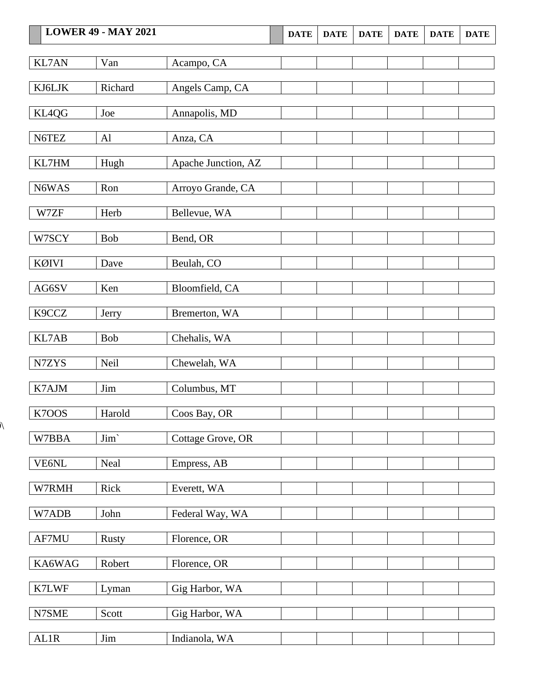|              | <b>LOWER 49 - MAY 2021</b> |                     | <b>DATE</b> | <b>DATE</b> | <b>DATE</b> | <b>DATE</b> | <b>DATE</b> | <b>DATE</b> |
|--------------|----------------------------|---------------------|-------------|-------------|-------------|-------------|-------------|-------------|
| <b>KL7AN</b> | Van                        | Acampo, CA          |             |             |             |             |             |             |
|              |                            |                     |             |             |             |             |             |             |
| KJ6LJK       | Richard                    | Angels Camp, CA     |             |             |             |             |             |             |
| KL4QG        | Joe                        | Annapolis, MD       |             |             |             |             |             |             |
| N6TEZ        | Al                         | Anza, CA            |             |             |             |             |             |             |
| KL7HM        | Hugh                       | Apache Junction, AZ |             |             |             |             |             |             |
| N6WAS        | Ron                        | Arroyo Grande, CA   |             |             |             |             |             |             |
| W7ZF         | Herb                       | Bellevue, WA        |             |             |             |             |             |             |
| W7SCY        | <b>Bob</b>                 | Bend, OR            |             |             |             |             |             |             |
| <b>KØIVI</b> | Dave                       | Beulah, CO          |             |             |             |             |             |             |
| AG6SV        | Ken                        | Bloomfield, CA      |             |             |             |             |             |             |
| K9CCZ        | Jerry                      | Bremerton, WA       |             |             |             |             |             |             |
| KL7AB        | <b>Bob</b>                 | Chehalis, WA        |             |             |             |             |             |             |
| N7ZYS        | Neil                       | Chewelah, WA        |             |             |             |             |             |             |
| K7AJM        | Jim                        | Columbus, MT        |             |             |             |             |             |             |
| K7OOS        | Harold                     | Coos Bay, OR        |             |             |             |             |             |             |
| W7BBA        | Jim <sup></sup>            | Cottage Grove, OR   |             |             |             |             |             |             |
| VE6NL        | Neal                       | Empress, AB         |             |             |             |             |             |             |
| W7RMH        | Rick                       | Everett, WA         |             |             |             |             |             |             |
| W7ADB        | John                       | Federal Way, WA     |             |             |             |             |             |             |
| AF7MU        | <b>Rusty</b>               | Florence, OR        |             |             |             |             |             |             |
| KA6WAG       | Robert                     | Florence, OR        |             |             |             |             |             |             |
| K7LWF        | Lyman                      | Gig Harbor, WA      |             |             |             |             |             |             |
| N7SME        | Scott                      | Gig Harbor, WA      |             |             |             |             |             |             |
| AL1R         | <b>Jim</b>                 | Indianola, WA       |             |             |             |             |             |             |

 $\overline{\mathcal{N}}$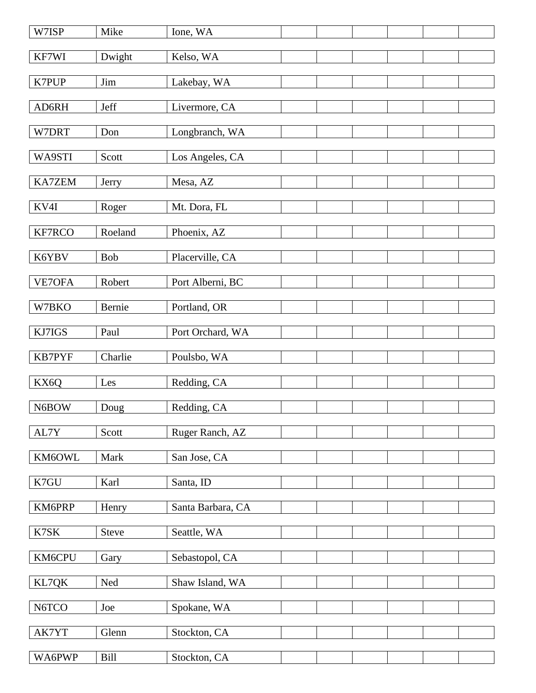| W7ISP         | Mike         | Ione, WA          |  |  |  |
|---------------|--------------|-------------------|--|--|--|
| KF7WI         | Dwight       | Kelso, WA         |  |  |  |
| K7PUP         | Jim          | Lakebay, WA       |  |  |  |
| AD6RH         | Jeff         | Livermore, CA     |  |  |  |
| W7DRT         | Don          | Longbranch, WA    |  |  |  |
| WA9STI        | Scott        | Los Angeles, CA   |  |  |  |
| <b>KA7ZEM</b> | Jerry        | Mesa, AZ          |  |  |  |
| KV4I          | Roger        | Mt. Dora, FL      |  |  |  |
| KF7RCO        | Roeland      | Phoenix, AZ       |  |  |  |
| K6YBV         | Bob          | Placerville, CA   |  |  |  |
| VE7OFA        | Robert       | Port Alberni, BC  |  |  |  |
| W7BKO         | Bernie       | Portland, OR      |  |  |  |
| KJ7IGS        | Paul         | Port Orchard, WA  |  |  |  |
| KB7PYF        | Charlie      | Poulsbo, WA       |  |  |  |
| KX6Q          | Les          | Redding, CA       |  |  |  |
| N6BOW         | Doug         | Redding, CA       |  |  |  |
| AL7Y          | Scott        | Ruger Ranch, AZ   |  |  |  |
| KM6OWL        | Mark         | San Jose, CA      |  |  |  |
| K7GU          | Karl         | Santa, ID         |  |  |  |
| KM6PRP        | Henry        | Santa Barbara, CA |  |  |  |
| K7SK          | <b>Steve</b> | Seattle, WA       |  |  |  |
| KM6CPU        | Gary         | Sebastopol, CA    |  |  |  |
| KL7QK         | Ned          | Shaw Island, WA   |  |  |  |
| N6TCO         | Joe          | Spokane, WA       |  |  |  |
| AK7YT         | Glenn        | Stockton, CA      |  |  |  |
| WA6PWP        | Bill         | Stockton, CA      |  |  |  |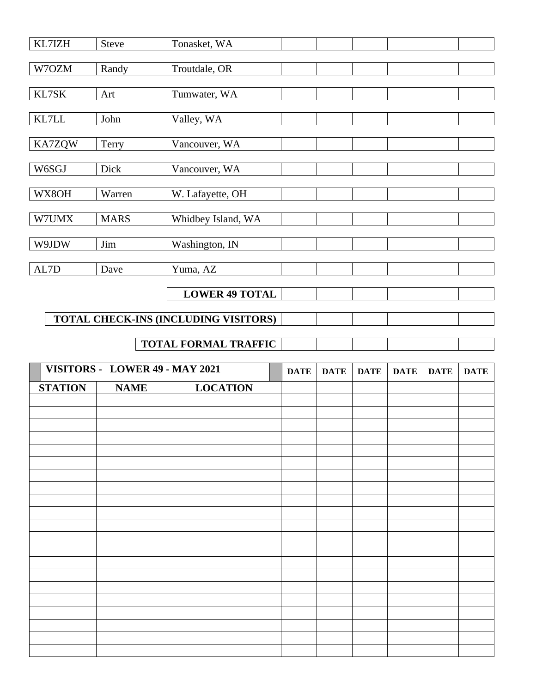| KL7IZH         | Steve                          | Tonasket, WA                         |             |             |             |             |             |             |
|----------------|--------------------------------|--------------------------------------|-------------|-------------|-------------|-------------|-------------|-------------|
| W7OZM          | Randy                          | Troutdale, OR                        |             |             |             |             |             |             |
| KL7SK          | Art                            | Tumwater, WA                         |             |             |             |             |             |             |
| $\text{KL7LL}$ | John                           | Valley, WA                           |             |             |             |             |             |             |
| <b>KA7ZQW</b>  | Terry                          | Vancouver, WA                        |             |             |             |             |             |             |
| W6SGJ          | Dick                           | Vancouver, WA                        |             |             |             |             |             |             |
| WX8OH          | Warren                         | W. Lafayette, OH                     |             |             |             |             |             |             |
| W7UMX          | <b>MARS</b>                    | Whidbey Island, WA                   |             |             |             |             |             |             |
| W9JDW          | Jim                            | Washington, IN                       |             |             |             |             |             |             |
| AL7D           | Dave                           | Yuma, AZ                             |             |             |             |             |             |             |
|                |                                | <b>LOWER 49 TOTAL</b>                |             |             |             |             |             |             |
|                |                                | TOTAL CHECK-INS (INCLUDING VISITORS) |             |             |             |             |             |             |
|                |                                |                                      |             |             |             |             |             |             |
|                |                                | TOTAL FORMAL TRAFFIC                 |             |             |             |             |             |             |
|                | VISITORS - LOWER 49 - MAY 2021 |                                      | <b>DATE</b> | <b>DATE</b> | <b>DATE</b> | <b>DATE</b> | <b>DATE</b> | <b>DATE</b> |
| <b>STATION</b> | <b>NAME</b>                    | <b>LOCATION</b>                      |             |             |             |             |             |             |
|                |                                |                                      |             |             |             |             |             |             |
|                |                                |                                      |             |             |             |             |             |             |
|                |                                |                                      |             |             |             |             |             |             |
|                |                                |                                      |             |             |             |             |             |             |
|                |                                |                                      |             |             |             |             |             |             |
|                |                                |                                      |             |             |             |             |             |             |
|                |                                |                                      |             |             |             |             |             |             |
|                |                                |                                      |             |             |             |             |             |             |
|                |                                |                                      |             |             |             |             |             |             |
|                |                                |                                      |             |             |             |             |             |             |
|                |                                |                                      |             |             |             |             |             |             |
|                |                                |                                      |             |             |             |             |             |             |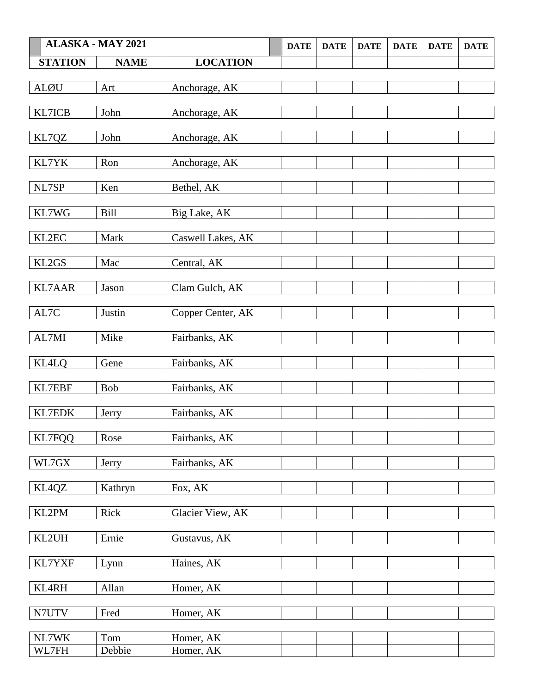|                | <b>ALASKA - MAY 2021</b> |                   | <b>DATE</b> | <b>DATE</b> | <b>DATE</b> | <b>DATE</b> | <b>DATE</b> | <b>DATE</b> |
|----------------|--------------------------|-------------------|-------------|-------------|-------------|-------------|-------------|-------------|
| <b>STATION</b> | <b>NAME</b>              | <b>LOCATION</b>   |             |             |             |             |             |             |
| <b>ALØU</b>    |                          |                   |             |             |             |             |             |             |
|                | Art                      | Anchorage, AK     |             |             |             |             |             |             |
| KL7ICB         | John                     | Anchorage, AK     |             |             |             |             |             |             |
| KL7QZ          | John                     | Anchorage, AK     |             |             |             |             |             |             |
| KL7YK          | Ron                      | Anchorage, AK     |             |             |             |             |             |             |
| NL7SP          | Ken                      | Bethel, AK        |             |             |             |             |             |             |
| KL7WG          | <b>Bill</b>              | Big Lake, AK      |             |             |             |             |             |             |
| KL2EC          | Mark                     | Caswell Lakes, AK |             |             |             |             |             |             |
| KL2GS          | Mac                      | Central, AK       |             |             |             |             |             |             |
| <b>KL7AAR</b>  | Jason                    | Clam Gulch, AK    |             |             |             |             |             |             |
| AL7C           | Justin                   | Copper Center, AK |             |             |             |             |             |             |
| AL7MI          | Mike                     | Fairbanks, AK     |             |             |             |             |             |             |
| <b>KL4LQ</b>   | Gene                     | Fairbanks, AK     |             |             |             |             |             |             |
| KL7EBF         | Bob                      | Fairbanks, AK     |             |             |             |             |             |             |
| <b>KL7EDK</b>  | Jerry                    | Fairbanks, AK     |             |             |             |             |             |             |
| KL7FQQ         | Rose                     | Fairbanks, AK     |             |             |             |             |             |             |
| WL7GX          | Jerry                    | Fairbanks, AK     |             |             |             |             |             |             |
| KL4QZ          | Kathryn                  | Fox, AK           |             |             |             |             |             |             |
| KL2PM          | Rick                     | Glacier View, AK  |             |             |             |             |             |             |
| KL2UH          | Ernie                    | Gustavus, AK      |             |             |             |             |             |             |
| KL7YXF         | Lynn                     | Haines, AK        |             |             |             |             |             |             |
| KL4RH          | Allan                    | Homer, AK         |             |             |             |             |             |             |
| N7UTV          | Fred                     | Homer, AK         |             |             |             |             |             |             |
| NL7WK          | Tom                      | Homer, AK         |             |             |             |             |             |             |
| WL7FH          | Debbie                   | Homer, AK         |             |             |             |             |             |             |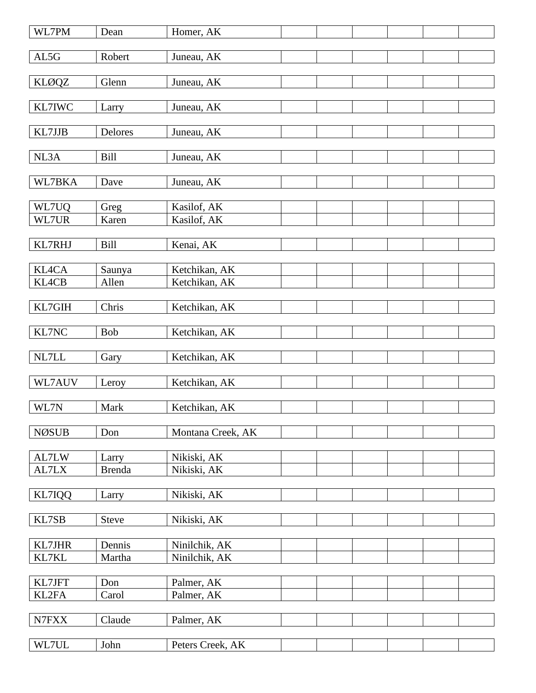| WL7PM         | Dean           | Homer, AK         |  |  |  |
|---------------|----------------|-------------------|--|--|--|
| AL5G          | Robert         | Juneau, AK        |  |  |  |
|               |                |                   |  |  |  |
| KLØQZ         | Glenn          | Juneau, AK        |  |  |  |
|               |                |                   |  |  |  |
| KL7IWC        | Larry          | Juneau, AK        |  |  |  |
|               |                |                   |  |  |  |
| KL7JJB        | <b>Delores</b> | Juneau, AK        |  |  |  |
| NL3A          | <b>Bill</b>    | Juneau, AK        |  |  |  |
|               |                |                   |  |  |  |
| WL7BKA        | Dave           | Juneau, AK        |  |  |  |
|               |                |                   |  |  |  |
| WL7UQ         | Greg           | Kasilof, AK       |  |  |  |
| WL7UR         | Karen          | Kasilof, AK       |  |  |  |
|               |                |                   |  |  |  |
| KL7RHJ        | <b>Bill</b>    | Kenai, AK         |  |  |  |
|               |                |                   |  |  |  |
| KL4CA         | Saunya         | Ketchikan, AK     |  |  |  |
| KL4CB         | Allen          | Ketchikan, AK     |  |  |  |
|               |                |                   |  |  |  |
| KL7GIH        | Chris          | Ketchikan, AK     |  |  |  |
|               |                |                   |  |  |  |
| KL7NC         | Bob            | Ketchikan, AK     |  |  |  |
| NL7LL         |                | Ketchikan, AK     |  |  |  |
|               | Gary           |                   |  |  |  |
| WL7AUV        | Leroy          | Ketchikan, AK     |  |  |  |
|               |                |                   |  |  |  |
| WL7N          | Mark           | Ketchikan, AK     |  |  |  |
|               |                |                   |  |  |  |
| <b>NØSUB</b>  | Don            | Montana Creek, AK |  |  |  |
|               |                |                   |  |  |  |
| AL7LW         | Larry          | Nikiski, AK       |  |  |  |
| AL7LX         | <b>Brenda</b>  | Nikiski, AK       |  |  |  |
|               |                |                   |  |  |  |
| KL7IQQ        | Larry          | Nikiski, AK       |  |  |  |
|               |                |                   |  |  |  |
| KL7SB         | <b>Steve</b>   | Nikiski, AK       |  |  |  |
|               |                |                   |  |  |  |
| <b>KL7JHR</b> | Dennis         | Ninilchik, AK     |  |  |  |
| KL7KL         | Martha         | Ninilchik, AK     |  |  |  |
| KL7JFT        | Don            | Palmer, AK        |  |  |  |
| KL2FA         | Carol          | Palmer, AK        |  |  |  |
|               |                |                   |  |  |  |
| N7FXX         | Claude         | Palmer, AK        |  |  |  |
|               |                |                   |  |  |  |
| WL7UL         | John           | Peters Creek, AK  |  |  |  |